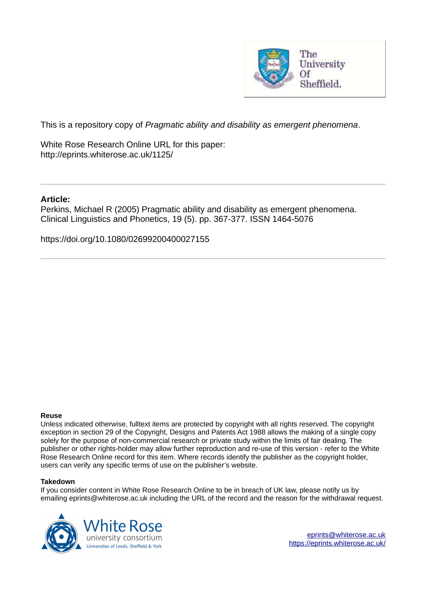

This is a repository copy of *Pragmatic ability and disability as emergent phenomena*.

White Rose Research Online URL for this paper: http://eprints.whiterose.ac.uk/1125/

## **Article:**

Perkins, Michael R (2005) Pragmatic ability and disability as emergent phenomena. Clinical Linguistics and Phonetics, 19 (5). pp. 367-377. ISSN 1464-5076

https://doi.org/10.1080/02699200400027155

#### **Reuse**

Unless indicated otherwise, fulltext items are protected by copyright with all rights reserved. The copyright exception in section 29 of the Copyright, Designs and Patents Act 1988 allows the making of a single copy solely for the purpose of non-commercial research or private study within the limits of fair dealing. The publisher or other rights-holder may allow further reproduction and re-use of this version - refer to the White Rose Research Online record for this item. Where records identify the publisher as the copyright holder, users can verify any specific terms of use on the publisher's website.

#### **Takedown**

If you consider content in White Rose Research Online to be in breach of UK law, please notify us by emailing eprints@whiterose.ac.uk including the URL of the record and the reason for the withdrawal request.

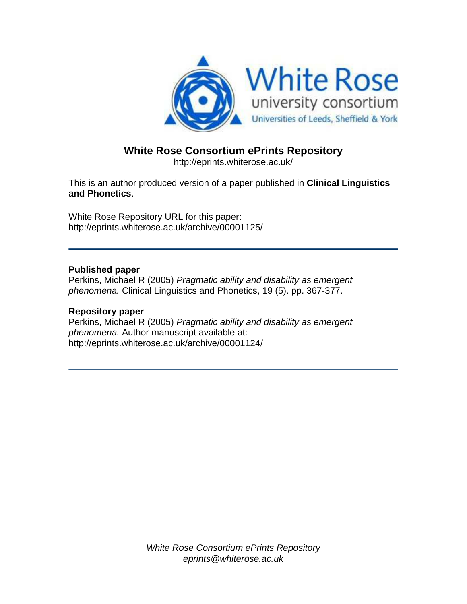

## **White Rose Consortium ePrints Repository**

http://eprints.whiterose.ac.uk/

This is an author produced version of a paper published in **Clinical Linguistics and Phonetics**.

White Rose Repository URL for this paper: http://eprints.whiterose.ac.uk/archive/00001125/

## **Published paper**

Perkins, Michael R (2005) Pragmatic ability and disability as emergent phenomena. Clinical Linguistics and Phonetics, 19 (5). pp. 367-377.

## **Repository paper**

Perkins, Michael R (2005) Pragmatic ability and disability as emergent phenomena. Author manuscript available at: http://eprints.whiterose.ac.uk/archive/00001124/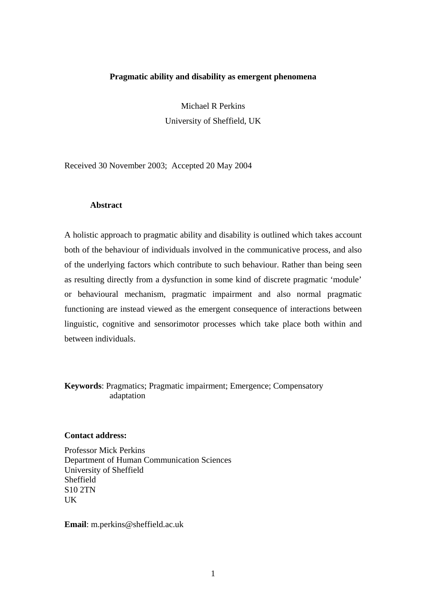#### **Pragmatic ability and disability as emergent phenomena**

Michael R Perkins University of Sheffield, UK

Received 30 November 2003; Accepted 20 May 2004

#### **Abstract**

A holistic approach to pragmatic ability and disability is outlined which takes account both of the behaviour of individuals involved in the communicative process, and also of the underlying factors which contribute to such behaviour. Rather than being seen as resulting directly from a dysfunction in some kind of discrete pragmatic 'module' or behavioural mechanism, pragmatic impairment and also normal pragmatic functioning are instead viewed as the emergent consequence of interactions between linguistic, cognitive and sensorimotor processes which take place both within and between individuals.

**Keywords**: Pragmatics; Pragmatic impairment; Emergence; Compensatory adaptation

### **Contact address:**

Professor Mick Perkins Department of Human Communication Sciences University of Sheffield Sheffield S10 2TN **IK** 

<span id="page-2-0"></span>**Email**: m.perkins@sheffield.ac.uk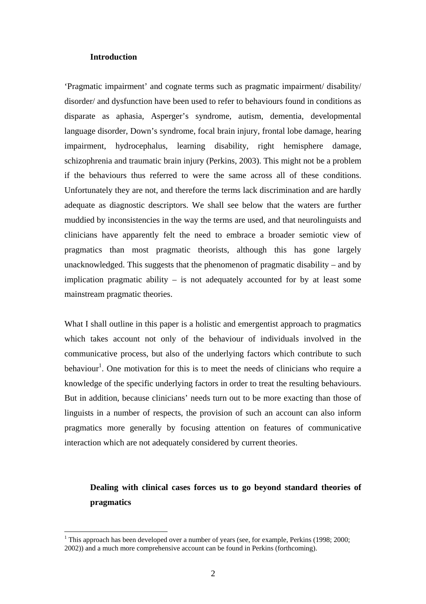#### **Introduction**

 $\overline{a}$ 

'Pragmatic impairment' and cognate terms such as pragmatic impairment/ disability/ disorder/ and dysfunction have been used to refer to behaviours found in conditions as disparate as aphasia, Asperger's syndrome, autism, dementia, developmental language disorder, Down's syndrome, focal brain injury, frontal lobe damage, hearing impairment, hydrocephalus, learning disability, right hemisphere damage, schizophrenia and traumatic brain injury (Perkins, 2003). This might not be a problem if the behaviours thus referred to were the same across all of these conditions. Unfortunately they are not, and therefore the terms lack discrimination and are hardly adequate as diagnostic descriptors. We shall see below that the waters are further muddied by inconsistencies in the way the terms are used, and that neurolinguists and clinicians have apparently felt the need to embrace a broader semiotic view of pragmatics than most pragmatic theorists, although this has gone largely unacknowledged. This suggests that the phenomenon of pragmatic disability – and by implication pragmatic ability – is not adequately accounted for by at least some mainstream pragmatic theories.

What I shall outline in this paper is a holistic and emergentist approach to pragmatics which takes account not only of the behaviour of individuals involved in the communicative process, but also of the underlying factors which contribute to such behaviour<sup>[1](#page-2-0)</sup>. One motivation for this is to meet the needs of clinicians who require a knowledge of the specific underlying factors in order to treat the resulting behaviours. But in addition, because clinicians' needs turn out to be more exacting than those of linguists in a number of respects, the provision of such an account can also inform pragmatics more generally by focusing attention on features of communicative interaction which are not adequately considered by current theories.

## **Dealing with clinical cases forces us to go beyond standard theories of pragmatics**

<span id="page-3-0"></span><sup>&</sup>lt;sup>1</sup> This approach has been developed over a number of years (see, for example, Perkins (1998; 2000; 2002)) and a much more comprehensive account can be found in Perkins (forthcoming).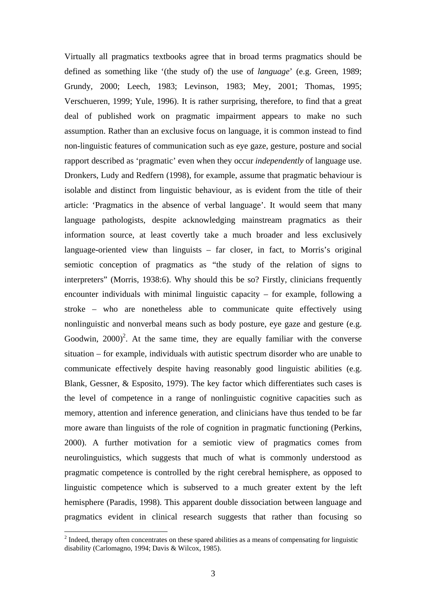Virtually all pragmatics textbooks agree that in broad terms pragmatics should be defined as something like '(the study of) the use of *language*' (e.g. Green, 1989; Grundy, 2000; Leech, 1983; Levinson, 1983; Mey, 2001; Thomas, 1995; Verschueren, 1999; Yule, 1996). It is rather surprising, therefore, to find that a great deal of published work on pragmatic impairment appears to make no such assumption. Rather than an exclusive focus on language, it is common instead to find non-linguistic features of communication such as eye gaze, gesture, posture and social rapport described as 'pragmatic' even when they occur *independently* of language use. Dronkers, Ludy and Redfern (1998), for example, assume that pragmatic behaviour is isolable and distinct from linguistic behaviour, as is evident from the title of their article: 'Pragmatics in the absence of verbal language'. It would seem that many language pathologists, despite acknowledging mainstream pragmatics as their information source, at least covertly take a much broader and less exclusively language-oriented view than linguists – far closer, in fact, to Morris's original semiotic conception of pragmatics as "the study of the relation of signs to interpreters" (Morris, 1938:6). Why should this be so? Firstly, clinicians frequently encounter individuals with minimal linguistic capacity – for example, following a stroke – who are nonetheless able to communicate quite effectively using nonlinguistic and nonverbal means such as body posture, eye gaze and gesture (e.g. Goodwin,  $2000)^2$  $2000)^2$ . At the same time, they are equally familiar with the converse situation – for example, individuals with autistic spectrum disorder who are unable to communicate effectively despite having reasonably good linguistic abilities (e.g. Blank, Gessner, & Esposito, 1979). The key factor which differentiates such cases is the level of competence in a range of nonlinguistic cognitive capacities such as memory, attention and inference generation, and clinicians have thus tended to be far more aware than linguists of the role of cognition in pragmatic functioning (Perkins, 2000). A further motivation for a semiotic view of pragmatics comes from neurolinguistics, which suggests that much of what is commonly understood as pragmatic competence is controlled by the right cerebral hemisphere, as opposed to linguistic competence which is subserved to a much greater extent by the left hemisphere (Paradis, 1998). This apparent double dissociation between language and pragmatics evident in clinical research suggests that rather than focusing so

 $\overline{a}$ 

<span id="page-4-0"></span> $2$  Indeed, therapy often concentrates on these spared abilities as a means of compensating for linguistic disability (Carlomagno, 1994; Davis & Wilcox, 1985).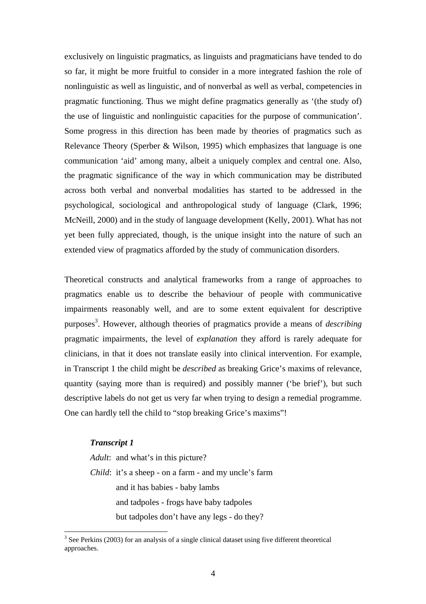exclusively on linguistic pragmatics, as linguists and pragmaticians have tended to do so far, it might be more fruitful to consider in a more integrated fashion the role of nonlinguistic as well as linguistic, and of nonverbal as well as verbal, competencies in pragmatic functioning. Thus we might define pragmatics generally as '(the study of) the use of linguistic and nonlinguistic capacities for the purpose of communication'. Some progress in this direction has been made by theories of pragmatics such as Relevance Theory (Sperber & Wilson, 1995) which emphasizes that language is one communication 'aid' among many, albeit a uniquely complex and central one. Also, the pragmatic significance of the way in which communication may be distributed across both verbal and nonverbal modalities has started to be addressed in the psychological, sociological and anthropological study of language (Clark, 1996; McNeill, 2000) and in the study of language development (Kelly, 2001). What has not yet been fully appreciated, though, is the unique insight into the nature of such an extended view of pragmatics afforded by the study of communication disorders.

Theoretical constructs and analytical frameworks from a range of approaches to pragmatics enable us to describe the behaviour of people with communicative impairments reasonably well, and are to some extent equivalent for descriptive purposes [3](#page-4-0) . However, although theories of pragmatics provide a means of *describing* pragmatic impairments, the level of *explanation* they afford is rarely adequate for clinicians, in that it does not translate easily into clinical intervention. For example, in Transcript 1 the child might be *described* as breaking Grice's maxims of relevance, quantity (saying more than is required) and possibly manner ('be brief'), but such descriptive labels do not get us very far when trying to design a remedial programme. One can hardly tell the child to "stop breaking Grice's maxims"!

## *Transcript 1*

 $\overline{a}$ 

*Adult*: and what's in this picture? *Child*: it's a sheep - on a farm - and my uncle's farm and it has babies - baby lambs and tadpoles - frogs have baby tadpoles but tadpoles don't have any legs - do they?

 $3$  See Perkins (2003) for an analysis of a single clinical dataset using five different theoretical approaches.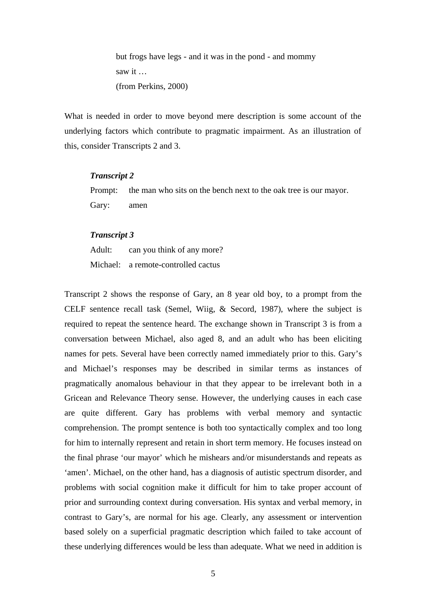but frogs have legs - and it was in the pond - and mommy saw it … (from Perkins, 2000)

What is needed in order to move beyond mere description is some account of the underlying factors which contribute to pragmatic impairment. As an illustration of this, consider Transcripts 2 and 3.

#### *Transcript 2*

Prompt: the man who sits on the bench next to the oak tree is our mayor. Gary: amen

#### *Transcript 3*

Adult: can you think of any more? Michael: a remote-controlled cactus

Transcript 2 shows the response of Gary, an 8 year old boy, to a prompt from the CELF sentence recall task (Semel, Wiig, & Secord, 1987), where the subject is required to repeat the sentence heard. The exchange shown in Transcript 3 is from a conversation between Michael, also aged 8, and an adult who has been eliciting names for pets. Several have been correctly named immediately prior to this. Gary's and Michael's responses may be described in similar terms as instances of pragmatically anomalous behaviour in that they appear to be irrelevant both in a Gricean and Relevance Theory sense. However, the underlying causes in each case are quite different. Gary has problems with verbal memory and syntactic comprehension. The prompt sentence is both too syntactically complex and too long for him to internally represent and retain in short term memory. He focuses instead on the final phrase 'our mayor' which he mishears and/or misunderstands and repeats as 'amen'. Michael, on the other hand, has a diagnosis of autistic spectrum disorder, and problems with social cognition make it difficult for him to take proper account of prior and surrounding context during conversation. His syntax and verbal memory, in contrast to Gary's, are normal for his age. Clearly, any assessment or intervention based solely on a superficial pragmatic description which failed to take account of these underlying differences would be less than adequate. What we need in addition is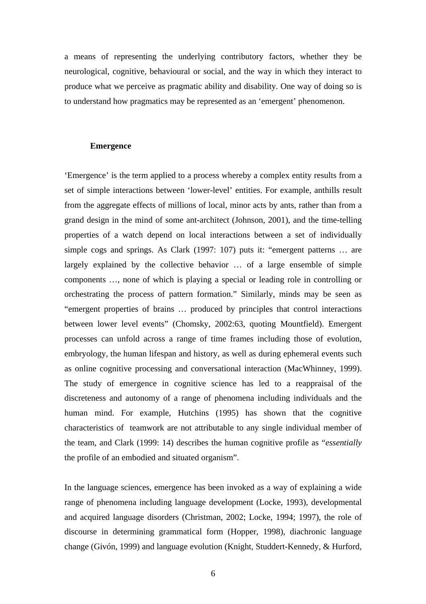a means of representing the underlying contributory factors, whether they be neurological, cognitive, behavioural or social, and the way in which they interact to produce what we perceive as pragmatic ability and disability. One way of doing so is to understand how pragmatics may be represented as an 'emergent' phenomenon.

#### **Emergence**

'Emergence' is the term applied to a process whereby a complex entity results from a set of simple interactions between 'lower-level' entities. For example, anthills result from the aggregate effects of millions of local, minor acts by ants, rather than from a grand design in the mind of some ant-architect (Johnson, 2001), and the time-telling properties of a watch depend on local interactions between a set of individually simple cogs and springs. As Clark (1997: 107) puts it: "emergent patterns … are largely explained by the collective behavior … of a large ensemble of simple components …, none of which is playing a special or leading role in controlling or orchestrating the process of pattern formation." Similarly, minds may be seen as "emergent properties of brains … produced by principles that control interactions between lower level events" (Chomsky, 2002:63, quoting Mountfield). Emergent processes can unfold across a range of time frames including those of evolution, embryology, the human lifespan and history, as well as during ephemeral events such as online cognitive processing and conversational interaction (MacWhinney, 1999). The study of emergence in cognitive science has led to a reappraisal of the discreteness and autonomy of a range of phenomena including individuals and the human mind. For example, Hutchins (1995) has shown that the cognitive characteristics of teamwork are not attributable to any single individual member of the team, and Clark (1999: 14) describes the human cognitive profile as "*essentially* the profile of an embodied and situated organism".

<span id="page-7-0"></span>In the language sciences, emergence has been invoked as a way of explaining a wide range of phenomena including language development (Locke, 1993), developmental and acquired language disorders (Christman, 2002; Locke, 1994; 1997), the role of discourse in determining grammatical form (Hopper, 1998), diachronic language change (Givón, 1999) and language evolution (Knight, Studdert-Kennedy, & Hurford,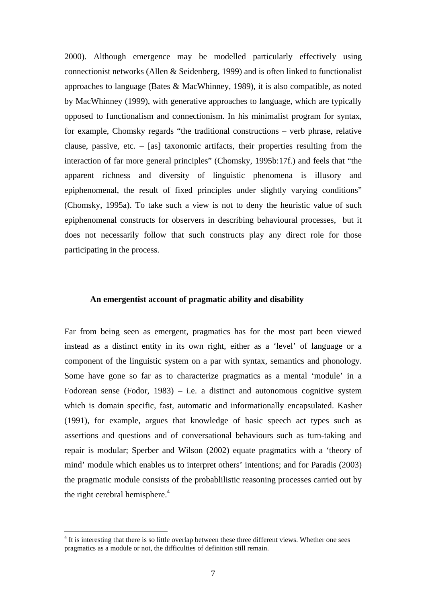2000). Although emergence may be modelled particularly effectively using connectionist networks (Allen & Seidenberg, 1999) and is often linked to functionalist approaches to language (Bates & MacWhinney, 1989), it is also compatible, as noted by MacWhinney (1999), with generative approaches to language, which are typically opposed to functionalism and connectionism. In his minimalist program for syntax, for example, Chomsky regards "the traditional constructions – verb phrase, relative clause, passive, etc. – [as] taxonomic artifacts, their properties resulting from the interaction of far more general principles" (Chomsky, 1995b:17f.) and feels that "the apparent richness and diversity of linguistic phenomena is illusory and epiphenomenal, the result of fixed principles under slightly varying conditions" (Chomsky, 1995a). To take such a view is not to deny the heuristic value of such epiphenomenal constructs for observers in describing behavioural processes, but it does not necessarily follow that such constructs play any direct role for those participating in the process.

#### **An emergentist account of pragmatic ability and disability**

Far from being seen as emergent, pragmatics has for the most part been viewed instead as a distinct entity in its own right, either as a 'level' of language or a component of the linguistic system on a par with syntax, semantics and phonology. Some have gone so far as to characterize pragmatics as a mental 'module' in a Fodorean sense (Fodor, 1983) – i.e. a distinct and autonomous cognitive system which is domain specific, fast, automatic and informationally encapsulated. Kasher (1991), for example, argues that knowledge of basic speech act types such as assertions and questions and of conversational behaviours such as turn-taking and repair is modular; Sperber and Wilson (2002) equate pragmatics with a 'theory of mind' module which enables us to interpret others' intentions; and for Paradis (2003) the pragmatic module consists of the probablilistic reasoning processes carried out by the right cerebral hemisphere. $4$ 

 $\overline{a}$ 

<sup>&</sup>lt;sup>4</sup> It is interesting that there is so little overlap between these three different views. Whether one sees pragmatics as a module or not, the difficulties of definition still remain.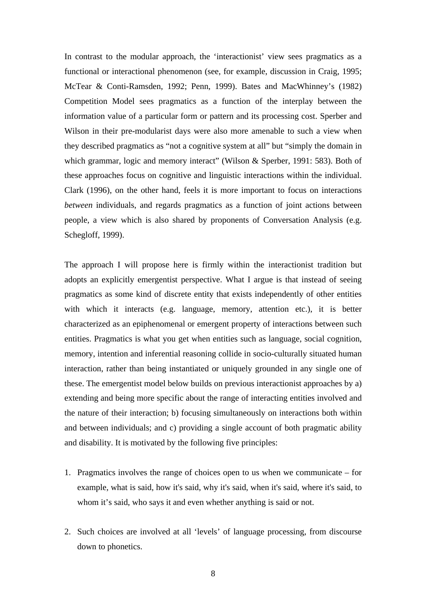In contrast to the modular approach, the 'interactionist' view sees pragmatics as a functional or interactional phenomenon (see, for example, discussion in Craig, 1995; McTear & Conti-Ramsden, 1992; Penn, 1999). Bates and MacWhinney's (1982) Competition Model sees pragmatics as a function of the interplay between the information value of a particular form or pattern and its processing cost. Sperber and Wilson in their pre-modularist days were also more amenable to such a view when they described pragmatics as "not a cognitive system at all" but "simply the domain in which grammar, logic and memory interact" (Wilson & Sperber, 1991: 583). Both of these approaches focus on cognitive and linguistic interactions within the individual. Clark (1996), on the other hand, feels it is more important to focus on interactions *between* individuals, and regards pragmatics as a function of joint actions between people, a view which is also shared by proponents of Conversation Analysis (e.g. Schegloff, 1999).

The approach I will propose here is firmly within the interactionist tradition but adopts an explicitly emergentist perspective. What I argue is that instead of seeing pragmatics as some kind of discrete entity that exists independently of other entities with which it interacts (e.g. language, memory, attention etc.), it is better characterized as an epiphenomenal or emergent property of interactions between such entities. Pragmatics is what you get when entities such as language, social cognition, memory, intention and inferential reasoning collide in socio-culturally situated human interaction, rather than being instantiated or uniquely grounded in any single one of these. The emergentist model below builds on previous interactionist approaches by a) extending and being more specific about the range of interacting entities involved and the nature of their interaction; b) focusing simultaneously on interactions both within and between individuals; and c) providing a single account of both pragmatic ability and disability. It is motivated by the following five principles:

- 1. Pragmatics involves the range of choices open to us when we communicate for example, what is said, how it's said, why it's said, when it's said, where it's said, to whom it's said, who says it and even whether anything is said or not.
- <span id="page-9-0"></span>2. Such choices are involved at all 'levels' of language processing, from discourse down to phonetics.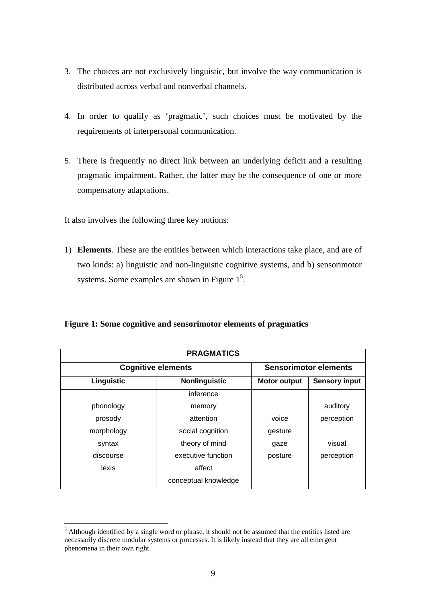- 3. The choices are not exclusively linguistic, but involve the way communication is distributed across verbal and nonverbal channels.
- 4. In order to qualify as 'pragmatic', such choices must be motivated by the requirements of interpersonal communication.
- 5. There is frequently no direct link between an underlying deficit and a resulting pragmatic impairment. Rather, the latter may be the consequence of one or more compensatory adaptations.

It also involves the following three key notions:

1) **Elements**. These are the entities between which interactions take place, and are of two kinds: a) linguistic and non-linguistic cognitive systems, and b) sensorimotor systems[.](#page-9-0) Some examples are shown in Figure  $1<sup>5</sup>$ .

**Figure 1: Some cognitive and sensorimotor elements of pragmatics** 

| <b>PRAGMATICS</b>         |                      |                              |                      |  |
|---------------------------|----------------------|------------------------------|----------------------|--|
| <b>Cognitive elements</b> |                      | <b>Sensorimotor elements</b> |                      |  |
| Linguistic                | Nonlinguistic        | <b>Motor output</b>          | <b>Sensory input</b> |  |
|                           | inference            |                              |                      |  |
| phonology                 | memory               |                              | auditory             |  |
| prosody                   | attention            | voice                        | perception           |  |
| morphology                | social cognition     | gesture                      |                      |  |
| syntax                    | theory of mind       | gaze                         | visual               |  |
| discourse                 | executive function   | posture                      | perception           |  |
| lexis                     | affect               |                              |                      |  |
|                           | conceptual knowledge |                              |                      |  |

<span id="page-10-0"></span> $\overline{a}$ <sup>5</sup> Although identified by a single word or phrase, it should not be assumed that the entities listed are necessarily discrete modular systems or processes. It is likely instead that they are all emergent phenomena in their own right.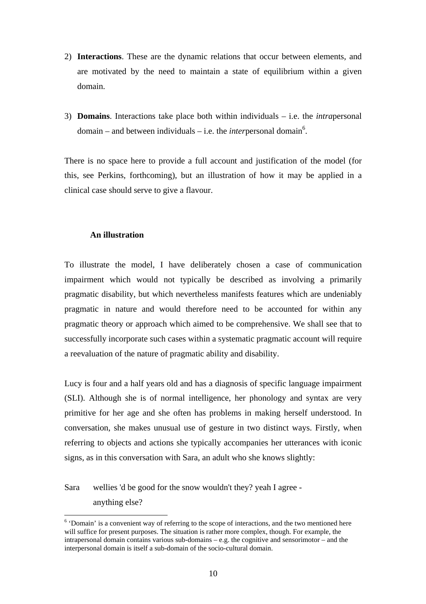- 2) **Interactions**. These are the dynamic relations that occur between elements, and are motivated by the need to maintain a state of equilibrium within a given domain.
- 3) **Domains**. Interactions take place both within individuals i.e. the *intra*personal domain – and between individuals – i.e[.](#page-10-0) the *inter* personal domain<sup>6</sup>.

There is no space here to provide a full account and justification of the model (for this, see Perkins, forthcoming), but an illustration of how it may be applied in a clinical case should serve to give a flavour.

## **An illustration**

 $\overline{a}$ 

To illustrate the model, I have deliberately chosen a case of communication impairment which would not typically be described as involving a primarily pragmatic disability, but which nevertheless manifests features which are undeniably pragmatic in nature and would therefore need to be accounted for within any pragmatic theory or approach which aimed to be comprehensive. We shall see that to successfully incorporate such cases within a systematic pragmatic account will require a reevaluation of the nature of pragmatic ability and disability.

Lucy is four and a half years old and has a diagnosis of specific language impairment (SLI). Although she is of normal intelligence, her phonology and syntax are very primitive for her age and she often has problems in making herself understood. In conversation, she makes unusual use of gesture in two distinct ways. Firstly, when referring to objects and actions she typically accompanies her utterances with iconic signs, as in this conversation with Sara, an adult who she knows slightly:

# Sara wellies 'd be good for the snow wouldn't they? yeah I agree anything else?

<sup>&</sup>lt;sup>6</sup> 'Domain' is a convenient way of referring to the scope of interactions, and the two mentioned here will suffice for present purposes. The situation is rather more complex, though. For example, the intrapersonal domain contains various sub-domains – e.g. the cognitive and sensorimotor – and the interpersonal domain is itself a sub-domain of the socio-cultural domain.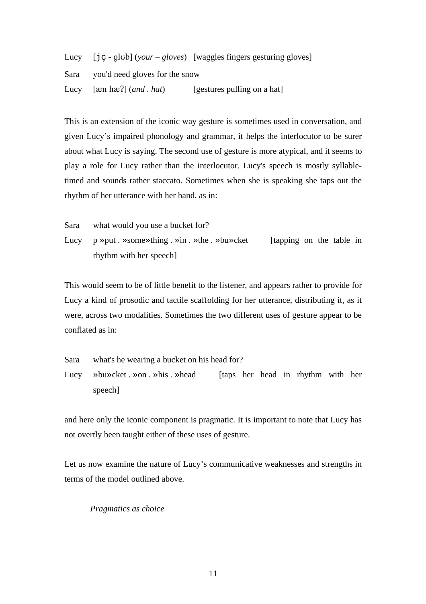|      |                                               | Lucy $[j\sigma - glub]$ ( <i>your – gloves</i> ) [waggles fingers gesturing gloves] |  |
|------|-----------------------------------------------|-------------------------------------------------------------------------------------|--|
|      | Sara you'd need gloves for the snow           |                                                                                     |  |
| Lucy | $[\text{æn hæ}](\text{and} \cdot \text{hat})$ | [gestures pulling on a hat]                                                         |  |

This is an extension of the iconic way gesture is sometimes used in conversation, and given Lucy's impaired phonology and grammar, it helps the interlocutor to be surer about what Lucy is saying. The second use of gesture is more atypical, and it seems to play a role for Lucy rather than the interlocutor. Lucy's speech is mostly syllabletimed and sounds rather staccato. Sometimes when she is speaking she taps out the rhythm of her utterance with her hand, as in:

Sara what would you use a bucket for?

Lucy  $p \gg put \, . \, \gg some \, \gg thin \, . \, \gg the \, . \, \gg bu \, \gg c \, ket$  [tapping on the table in rhythm with her speech]

This would seem to be of little benefit to the listener, and appears rather to provide for Lucy a kind of prosodic and tactile scaffolding for her utterance, distributing it, as it were, across two modalities. Sometimes the two different uses of gesture appear to be conflated as in:

Sara what's he wearing a bucket on his head for? Lucy »bu»cket . »on . »his . »head [taps her head in rhythm with her speech]

and here only the iconic component is pragmatic. It is important to note that Lucy has not overtly been taught either of these uses of gesture.

Let us now examine the nature of Lucy's communicative weaknesses and strengths in terms of the model outlined above.

### *Pragmatics as choice*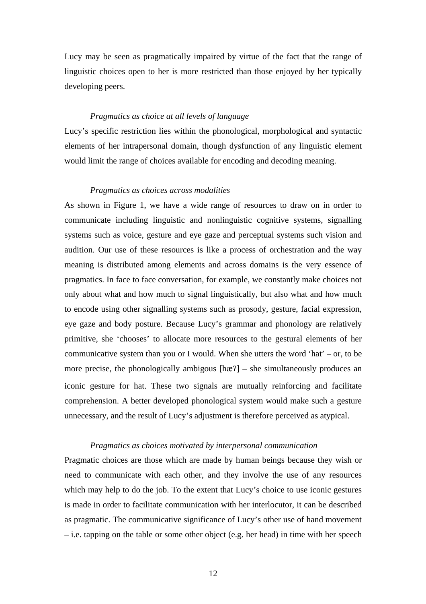Lucy may be seen as pragmatically impaired by virtue of the fact that the range of linguistic choices open to her is more restricted than those enjoyed by her typically developing peers.

#### *Pragmatics as choice at all levels of language*

Lucy's specific restriction lies within the phonological, morphological and syntactic elements of her intrapersonal domain, though dysfunction of any linguistic element would limit the range of choices available for encoding and decoding meaning.

#### *Pragmatics as choices across modalities*

As shown in Figure 1, we have a wide range of resources to draw on in order to communicate including linguistic and nonlinguistic cognitive systems, signalling systems such as voice, gesture and eye gaze and perceptual systems such vision and audition. Our use of these resources is like a process of orchestration and the way meaning is distributed among elements and across domains is the very essence of pragmatics. In face to face conversation, for example, we constantly make choices not only about what and how much to signal linguistically, but also what and how much to encode using other signalling systems such as prosody, gesture, facial expression, eye gaze and body posture. Because Lucy's grammar and phonology are relatively primitive, she 'chooses' to allocate more resources to the gestural elements of her communicative system than you or I would. When she utters the word 'hat' – or, to be more precise, the phonologically ambigous  $[\hbar \mathcal{R}]$  – she simultaneously produces an iconic gesture for hat. These two signals are mutually reinforcing and facilitate comprehension. A better developed phonological system would make such a gesture unnecessary, and the result of Lucy's adjustment is therefore perceived as atypical.

#### *Pragmatics as choices motivated by interpersonal communication*

<span id="page-13-0"></span>Pragmatic choices are those which are made by human beings because they wish or need to communicate with each other, and they involve the use of any resources which may help to do the job. To the extent that Lucy's choice to use iconic gestures is made in order to facilitate communication with her interlocutor, it can be described as pragmatic. The communicative significance of Lucy's other use of hand movement – i.e. tapping on the table or some other object (e.g. her head) in time with her speech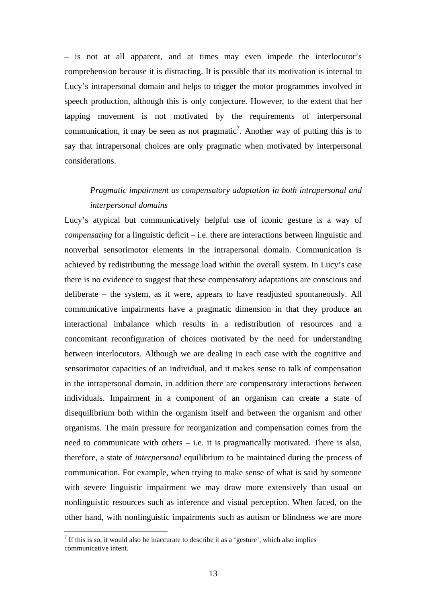– is not at all apparent, and at times may even impede the interlocutor's comprehension because it is distracting. It is possible that its motivation is internal to Lucy's intrapersonal domain and helps to trigger the motor programmes involved in speech production, although this is only conjecture. However, to the extent that her tapping movement is not motivated by the requirements of interpersonal communication, it may be seen as not pragmatic<sup>7</sup>[.](#page-13-0) Another way of putting this is to say that intrapersonal choices are only pragmatic when motivated by interpersonal considerations.

## *Pragmatic impairment as compensatory adaptation in both intrapersonal and interpersonal domains*

Lucy's atypical but communicatively helpful use of iconic gesture is a way of *compensating* for a linguistic deficit – i.e. there are interactions between linguistic and nonverbal sensorimotor elements in the intrapersonal domain. Communication is achieved by redistributing the message load within the overall system. In Lucy's case there is no evidence to suggest that these compensatory adaptations are conscious and deliberate – the system, as it were, appears to have readjusted spontaneously. All communicative impairments have a pragmatic dimension in that they produce an interactional imbalance which results in a redistribution of resources and a concomitant reconfiguration of choices motivated by the need for understanding between interlocutors. Although we are dealing in each case with the cognitive and sensorimotor capacities of an individual, and it makes sense to talk of compensation in the intrapersonal domain, in addition there are compensatory interactions *between* individuals. Impairment in a component of an organism can create a state of disequilibrium both within the organism itself and between the organism and other organisms. The main pressure for reorganization and compensation comes from the need to communicate with others – i.e. it is pragmatically motivated. There is also, therefore, a state of *interpersonal* equilibrium to be maintained during the process of communication. For example, when trying to make sense of what is said by someone with severe linguistic impairment we may draw more extensively than usual on nonlinguistic resources such as inference and visual perception. When faced, on the other hand, with nonlinguistic impairments such as autism or blindness we are more

 $\overline{a}$ 

 $<sup>7</sup>$  If this is so, it would also be inaccurate to describe it as a 'gesture', which also implies</sup> communicative intent.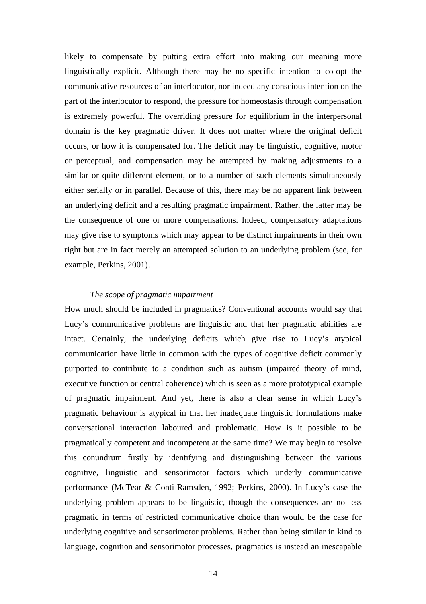likely to compensate by putting extra effort into making our meaning more linguistically explicit. Although there may be no specific intention to co-opt the communicative resources of an interlocutor, nor indeed any conscious intention on the part of the interlocutor to respond, the pressure for homeostasis through compensation is extremely powerful. The overriding pressure for equilibrium in the interpersonal domain is the key pragmatic driver. It does not matter where the original deficit occurs, or how it is compensated for. The deficit may be linguistic, cognitive, motor or perceptual, and compensation may be attempted by making adjustments to a similar or quite different element, or to a number of such elements simultaneously either serially or in parallel. Because of this, there may be no apparent link between an underlying deficit and a resulting pragmatic impairment. Rather, the latter may be the consequence of one or more compensations. Indeed, compensatory adaptations may give rise to symptoms which may appear to be distinct impairments in their own right but are in fact merely an attempted solution to an underlying problem (see, for example, Perkins, 2001).

### *The scope of pragmatic impairment*

How much should be included in pragmatics? Conventional accounts would say that Lucy's communicative problems are linguistic and that her pragmatic abilities are intact. Certainly, the underlying deficits which give rise to Lucy's atypical communication have little in common with the types of cognitive deficit commonly purported to contribute to a condition such as autism (impaired theory of mind, executive function or central coherence) which is seen as a more prototypical example of pragmatic impairment. And yet, there is also a clear sense in which Lucy's pragmatic behaviour is atypical in that her inadequate linguistic formulations make conversational interaction laboured and problematic. How is it possible to be pragmatically competent and incompetent at the same time? We may begin to resolve this conundrum firstly by identifying and distinguishing between the various cognitive, linguistic and sensorimotor factors which underly communicative performance (McTear & Conti-Ramsden, 1992; Perkins, 2000). In Lucy's case the underlying problem appears to be linguistic, though the consequences are no less pragmatic in terms of restricted communicative choice than would be the case for underlying cognitive and sensorimotor problems. Rather than being similar in kind to language, cognition and sensorimotor processes, pragmatics is instead an inescapable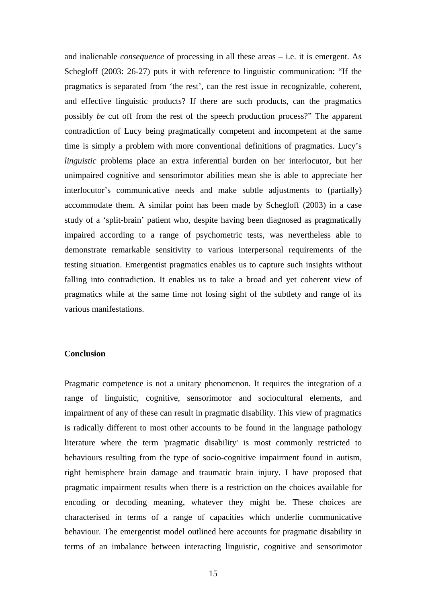and inalienable *consequence* of processing in all these areas – i.e. it is emergent. As Schegloff (2003: 26-27) puts it with reference to linguistic communication: "If the pragmatics is separated from 'the rest', can the rest issue in recognizable, coherent, and effective linguistic products? If there are such products, can the pragmatics possibly *be* cut off from the rest of the speech production process?" The apparent contradiction of Lucy being pragmatically competent and incompetent at the same time is simply a problem with more conventional definitions of pragmatics. Lucy's *linguistic* problems place an extra inferential burden on her interlocutor, but her unimpaired cognitive and sensorimotor abilities mean she is able to appreciate her interlocutor's communicative needs and make subtle adjustments to (partially) accommodate them. A similar point has been made by Schegloff (2003) in a case study of a 'split-brain' patient who, despite having been diagnosed as pragmatically impaired according to a range of psychometric tests, was nevertheless able to demonstrate remarkable sensitivity to various interpersonal requirements of the testing situation. Emergentist pragmatics enables us to capture such insights without falling into contradiction. It enables us to take a broad and yet coherent view of pragmatics while at the same time not losing sight of the subtlety and range of its various manifestations.

#### **Conclusion**

Pragmatic competence is not a unitary phenomenon. It requires the integration of a range of linguistic, cognitive, sensorimotor and sociocultural elements, and impairment of any of these can result in pragmatic disability. This view of pragmatics is radically different to most other accounts to be found in the language pathology literature where the term 'pragmatic disability' is most commonly restricted to behaviours resulting from the type of socio-cognitive impairment found in autism, right hemisphere brain damage and traumatic brain injury. I have proposed that pragmatic impairment results when there is a restriction on the choices available for encoding or decoding meaning, whatever they might be. These choices are characterised in terms of a range of capacities which underlie communicative behaviour. The emergentist model outlined here accounts for pragmatic disability in terms of an imbalance between interacting linguistic, cognitive and sensorimotor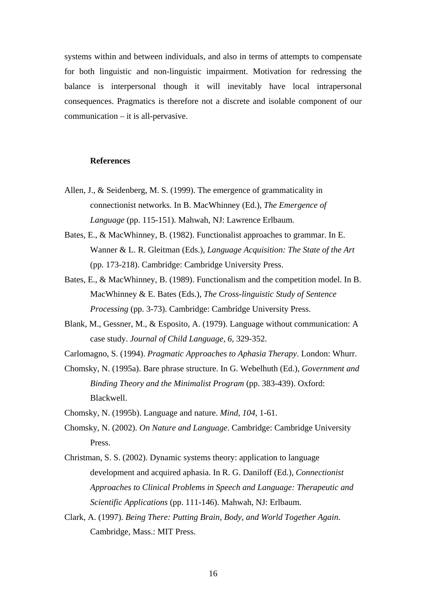systems within and between individuals, and also in terms of attempts to compensate for both linguistic and non-linguistic impairment. Motivation for redressing the balance is interpersonal though it will inevitably have local intrapersonal consequences. Pragmatics is therefore not a discrete and isolable component of our communication – it is all-pervasive.

#### **References**

- Allen, J., & Seidenberg, M. S. (1999). The emergence of grammaticality in connectionist networks. In B. MacWhinney (Ed.), *The Emergence of Language* (pp. 115-151). Mahwah, NJ: Lawrence Erlbaum.
- Bates, E., & MacWhinney, B. (1982). Functionalist approaches to grammar. In E. Wanner & L. R. Gleitman (Eds.), *Language Acquisition: The State of the Art* (pp. 173-218). Cambridge: Cambridge University Press.
- Bates, E., & MacWhinney, B. (1989). Functionalism and the competition model. In B. MacWhinney & E. Bates (Eds.), *The Cross-linguistic Study of Sentence Processing* (pp. 3-73). Cambridge: Cambridge University Press.
- Blank, M., Gessner, M., & Esposito, A. (1979). Language without communication: A case study. *Journal of Child Language, 6*, 329-352.
- Carlomagno, S. (1994). *Pragmatic Approaches to Aphasia Therapy*. London: Whurr.
- Chomsky, N. (1995a). Bare phrase structure. In G. Webelhuth (Ed.), *Government and Binding Theory and the Minimalist Program* (pp. 383-439). Oxford: Blackwell.
- Chomsky, N. (1995b). Language and nature. *Mind, 104*, 1-61.
- Chomsky, N. (2002). *On Nature and Language*. Cambridge: Cambridge University Press.
- Christman, S. S. (2002). Dynamic systems theory: application to language development and acquired aphasia. In R. G. Daniloff (Ed.), *Connectionist Approaches to Clinical Problems in Speech and Language: Therapeutic and Scientific Applications* (pp. 111-146). Mahwah, NJ: Erlbaum.
- Clark, A. (1997). *Being There: Putting Brain, Body, and World Together Again*. Cambridge, Mass.: MIT Press.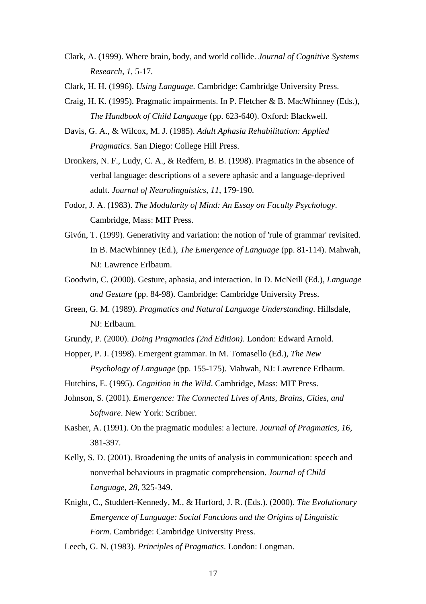- Clark, A. (1999). Where brain, body, and world collide. *Journal of Cognitive Systems Research, 1*, 5-17.
- Clark, H. H. (1996). *Using Language*. Cambridge: Cambridge University Press.
- Craig, H. K. (1995). Pragmatic impairments. In P. Fletcher & B. MacWhinney (Eds.), *The Handbook of Child Language* (pp. 623-640). Oxford: Blackwell.
- Davis, G. A., & Wilcox, M. J. (1985). *Adult Aphasia Rehabilitation: Applied Pragmatics*. San Diego: College Hill Press.
- Dronkers, N. F., Ludy, C. A., & Redfern, B. B. (1998). Pragmatics in the absence of verbal language: descriptions of a severe aphasic and a language-deprived adult. *Journal of Neurolinguistics, 11*, 179-190.
- Fodor, J. A. (1983). *The Modularity of Mind: An Essay on Faculty Psychology*. Cambridge, Mass: MIT Press.
- Givón, T. (1999). Generativity and variation: the notion of 'rule of grammar' revisited. In B. MacWhinney (Ed.), *The Emergence of Language* (pp. 81-114). Mahwah, NJ: Lawrence Erlbaum.
- Goodwin, C. (2000). Gesture, aphasia, and interaction. In D. McNeill (Ed.), *Language and Gesture* (pp. 84-98). Cambridge: Cambridge University Press.
- Green, G. M. (1989). *Pragmatics and Natural Language Understanding*. Hillsdale, NJ: Erlbaum.
- Grundy, P. (2000). *Doing Pragmatics (2nd Edition)*. London: Edward Arnold.
- Hopper, P. J. (1998). Emergent grammar. In M. Tomasello (Ed.), *The New Psychology of Language* (pp. 155-175). Mahwah, NJ: Lawrence Erlbaum.
- Hutchins, E. (1995). *Cognition in the Wild*. Cambridge, Mass: MIT Press.
- Johnson, S. (2001). *Emergence: The Connected Lives of Ants, Brains, Cities, and Software*. New York: Scribner.
- Kasher, A. (1991). On the pragmatic modules: a lecture. *Journal of Pragmatics, 16*, 381-397.
- Kelly, S. D. (2001). Broadening the units of analysis in communication: speech and nonverbal behaviours in pragmatic comprehension. *Journal of Child Language, 28*, 325-349.
- Knight, C., Studdert-Kennedy, M., & Hurford, J. R. (Eds.). (2000). *The Evolutionary Emergence of Language: Social Functions and the Origins of Linguistic Form*. Cambridge: Cambridge University Press.
- Leech, G. N. (1983). *Principles of Pragmatics*. London: Longman.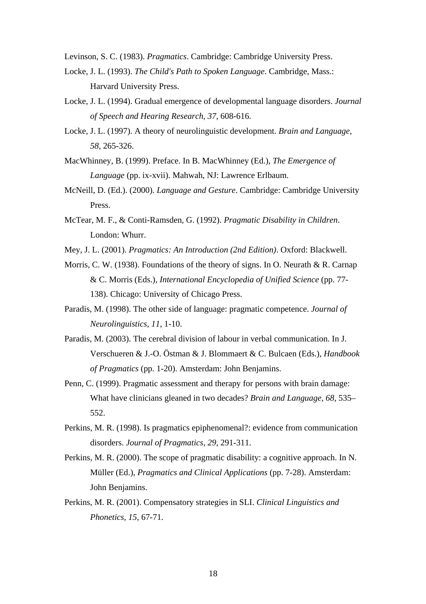Levinson, S. C. (1983). *Pragmatics*. Cambridge: Cambridge University Press.

- Locke, J. L. (1993). *The Child's Path to Spoken Language*. Cambridge, Mass.: Harvard University Press.
- Locke, J. L. (1994). Gradual emergence of developmental language disorders. *Journal of Speech and Hearing Research, 37*, 608-616.
- Locke, J. L. (1997). A theory of neurolinguistic development. *Brain and Language, 58*, 265-326.
- MacWhinney, B. (1999). Preface. In B. MacWhinney (Ed.), *The Emergence of Language* (pp. ix-xvii). Mahwah, NJ: Lawrence Erlbaum.
- McNeill, D. (Ed.). (2000). *Language and Gesture*. Cambridge: Cambridge University Press.
- McTear, M. F., & Conti-Ramsden, G. (1992). *Pragmatic Disability in Children*. London: Whurr.
- Mey, J. L. (2001). *Pragmatics: An Introduction (2nd Edition)*. Oxford: Blackwell.
- Morris, C. W. (1938). Foundations of the theory of signs. In O. Neurath & R. Carnap & C. Morris (Eds.), *International Encyclopedia of Unified Science* (pp. 77- 138). Chicago: University of Chicago Press.
- Paradis, M. (1998). The other side of language: pragmatic competence. *Journal of Neurolinguistics, 11*, 1-10.
- Paradis, M. (2003). The cerebral division of labour in verbal communication. In J. Verschueren & J.-O. Östman & J. Blommaert & C. Bulcaen (Eds.), *Handbook of Pragmatics* (pp. 1-20). Amsterdam: John Benjamins.
- Penn, C. (1999). Pragmatic assessment and therapy for persons with brain damage: What have clinicians gleaned in two decades? *Brain and Language, 68*, 535– 552.
- Perkins, M. R. (1998). Is pragmatics epiphenomenal?: evidence from communication disorders. *Journal of Pragmatics, 29*, 291-311.
- Perkins, M. R. (2000). The scope of pragmatic disability: a cognitive approach. In N. Müller (Ed.), *Pragmatics and Clinical Applications* (pp. 7-28). Amsterdam: John Benjamins.
- Perkins, M. R. (2001). Compensatory strategies in SLI. *Clinical Linguistics and Phonetics, 15*, 67-71.